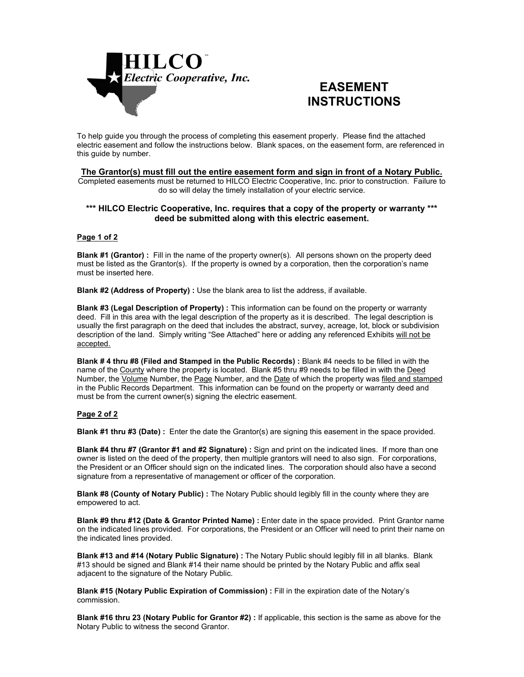

# **EASEMENT INSTRUCTIONS**

To help guide you through the process of completing this easement properly. Please find the attached electric easement and follow the instructions below. Blank spaces, on the easement form, are referenced in this guide by number.

## **The Grantor(s) must fill out the entire easement form and sign in front of a Notary Public.**

Completed easements must be returned to HILCO Electric Cooperative, Inc. prior to construction. Failure to do so will delay the timely installation of your electric service.

### **\*\*\* HILCO Electric Cooperative, Inc. requires that a copy of the property or warranty \*\*\* deed be submitted along with this electric easement.**

#### **Page 1 of 2**

**Blank #1 (Grantor) :** Fill in the name of the property owner(s). All persons shown on the property deed must be listed as the Grantor(s). If the property is owned by a corporation, then the corporation's name must be inserted here.

**Blank #2 (Address of Property) :** Use the blank area to list the address, if available.

**Blank #3 (Legal Description of Property) :** This information can be found on the property or warranty deed. Fill in this area with the legal description of the property as it is described. The legal description is usually the first paragraph on the deed that includes the abstract, survey, acreage, lot, block or subdivision description of the land. Simply writing "See Attached" here or adding any referenced Exhibits will not be accepted.

**Blank # 4 thru #8 (Filed and Stamped in the Public Records) :** Blank #4 needs to be filled in with the name of the County where the property is located. Blank #5 thru #9 needs to be filled in with the Deed Number, the Volume Number, the Page Number, and the Date of which the property was filed and stamped in the Public Records Department. This information can be found on the property or warranty deed and must be from the current owner(s) signing the electric easement.

#### **Page 2 of 2**

**Blank #1 thru #3 (Date)** : Enter the date the Grantor(s) are signing this easement in the space provided.

**Blank #4 thru #7 (Grantor #1 and #2 Signature) :** Sign and print on the indicated lines. If more than one owner is listed on the deed of the property, then multiple grantors will need to also sign. For corporations, the President or an Officer should sign on the indicated lines. The corporation should also have a second signature from a representative of management or officer of the corporation.

**Blank #8 (County of Notary Public) :** The Notary Public should legibly fill in the county where they are empowered to act.

**Blank #9 thru #12 (Date & Grantor Printed Name) :** Enter date in the space provided. Print Grantor name on the indicated lines provided. For corporations, the President or an Officer will need to print their name on the indicated lines provided.

**Blank #13 and #14 (Notary Public Signature) :** The Notary Public should legibly fill in all blanks. Blank #13 should be signed and Blank #14 their name should be printed by the Notary Public and affix seal adjacent to the signature of the Notary Public.

**Blank #15 (Notary Public Expiration of Commission) :** Fill in the expiration date of the Notary's commission.

**Blank #16 thru 23 (Notary Public for Grantor #2) :** If applicable, this section is the same as above for the Notary Public to witness the second Grantor.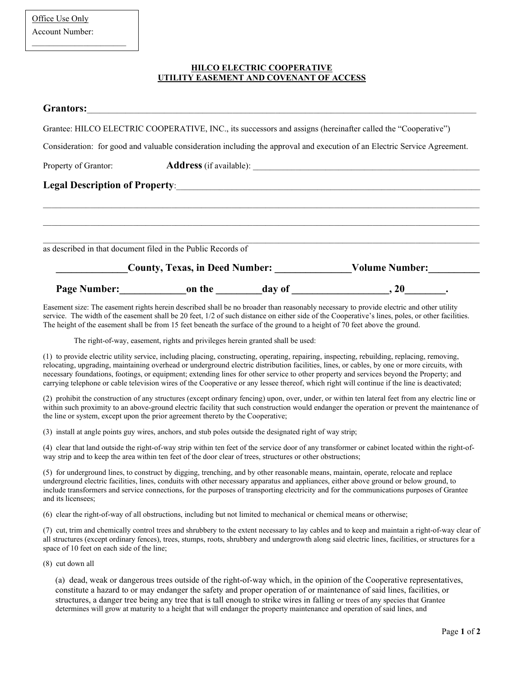$\overline{\phantom{a}}$  , which is a set of the set of the set of the set of the set of the set of the set of the set of the set of the set of the set of the set of the set of the set of the set of the set of the set of the set of th

## **HILCO ELECTRIC COOPERATIVE UTILITY EASEMENT AND COVENANT OF ACCESS**

| <b>Grantors:</b>                                             | <u> 1980 - John Stein, Amerikaansk politiker (* 1950)</u> |                       |                                                                                                                           |  |
|--------------------------------------------------------------|-----------------------------------------------------------|-----------------------|---------------------------------------------------------------------------------------------------------------------------|--|
|                                                              |                                                           |                       | Grantee: HILCO ELECTRIC COOPERATIVE, INC., its successors and assigns (hereinafter called the "Cooperative")              |  |
|                                                              |                                                           |                       | Consideration: for good and valuable consideration including the approval and execution of an Electric Service Agreement. |  |
|                                                              |                                                           |                       |                                                                                                                           |  |
|                                                              |                                                           |                       |                                                                                                                           |  |
|                                                              |                                                           |                       |                                                                                                                           |  |
|                                                              |                                                           |                       |                                                                                                                           |  |
|                                                              |                                                           |                       |                                                                                                                           |  |
| as described in that document filed in the Public Records of |                                                           |                       |                                                                                                                           |  |
| <b>County, Texas, in Deed Number:</b>                        |                                                           | <b>Volume Number:</b> |                                                                                                                           |  |
|                                                              | Page Number: on the day of                                |                       | , 20                                                                                                                      |  |

Easement size: The easement rights herein described shall be no broader than reasonably necessary to provide electric and other utility service. The width of the easement shall be 20 feet, 1/2 of such distance on either side of the Cooperative's lines, poles, or other facilities. The height of the easement shall be from 15 feet beneath the surface of the ground to a height of 70 feet above the ground.

The right-of-way, easement, rights and privileges herein granted shall be used:

(1) to provide electric utility service, including placing, constructing, operating, repairing, inspecting, rebuilding, replacing, removing, relocating, upgrading, maintaining overhead or underground electric distribution facilities, lines, or cables, by one or more circuits, with necessary foundations, footings, or equipment; extending lines for other service to other property and services beyond the Property; and carrying telephone or cable television wires of the Cooperative or any lessee thereof, which right will continue if the line is deactivated;

(2) prohibit the construction of any structures (except ordinary fencing) upon, over, under, or within ten lateral feet from any electric line or within such proximity to an above-ground electric facility that such construction would endanger the operation or prevent the maintenance of the line or system, except upon the prior agreement thereto by the Cooperative;

(3) install at angle points guy wires, anchors, and stub poles outside the designated right of way strip;

(4) clear that land outside the right-of-way strip within ten feet of the service door of any transformer or cabinet located within the right-ofway strip and to keep the area within ten feet of the door clear of trees, structures or other obstructions;

(5) for underground lines, to construct by digging, trenching, and by other reasonable means, maintain, operate, relocate and replace underground electric facilities, lines, conduits with other necessary apparatus and appliances, either above ground or below ground, to include transformers and service connections, for the purposes of transporting electricity and for the communications purposes of Grantee and its licensees;

(6) clear the right-of-way of all obstructions, including but not limited to mechanical or chemical means or otherwise;

(7) cut, trim and chemically control trees and shrubbery to the extent necessary to lay cables and to keep and maintain a right-of-way clear of all structures (except ordinary fences), trees, stumps, roots, shrubbery and undergrowth along said electric lines, facilities, or structures for a space of 10 feet on each side of the line;

(8) cut down all

(a) dead, weak or dangerous trees outside of the right-of-way which, in the opinion of the Cooperative representatives, constitute a hazard to or may endanger the safety and proper operation of or maintenance of said lines, facilities, or structures, a danger tree being any tree that is tall enough to strike wires in falling or trees of any species that Grantee determines will grow at maturity to a height that will endanger the property maintenance and operation of said lines, and